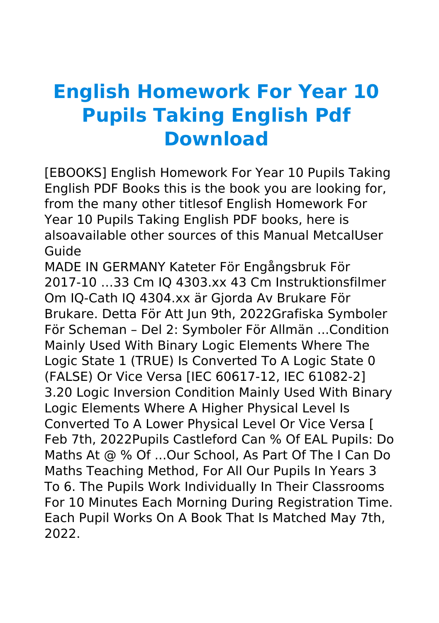## **English Homework For Year 10 Pupils Taking English Pdf Download**

[EBOOKS] English Homework For Year 10 Pupils Taking English PDF Books this is the book you are looking for, from the many other titlesof English Homework For Year 10 Pupils Taking English PDF books, here is alsoavailable other sources of this Manual MetcalUser Guide

MADE IN GERMANY Kateter För Engångsbruk För 2017-10 …33 Cm IQ 4303.xx 43 Cm Instruktionsfilmer Om IQ-Cath IQ 4304.xx är Gjorda Av Brukare För Brukare. Detta För Att Jun 9th, 2022Grafiska Symboler För Scheman – Del 2: Symboler För Allmän ...Condition Mainly Used With Binary Logic Elements Where The Logic State 1 (TRUE) Is Converted To A Logic State 0 (FALSE) Or Vice Versa [IEC 60617-12, IEC 61082-2] 3.20 Logic Inversion Condition Mainly Used With Binary Logic Elements Where A Higher Physical Level Is Converted To A Lower Physical Level Or Vice Versa [ Feb 7th, 2022Pupils Castleford Can % Of EAL Pupils: Do Maths At @ % Of ...Our School, As Part Of The I Can Do Maths Teaching Method, For All Our Pupils In Years 3 To 6. The Pupils Work Individually In Their Classrooms For 10 Minutes Each Morning During Registration Time. Each Pupil Works On A Book That Is Matched May 7th, 2022.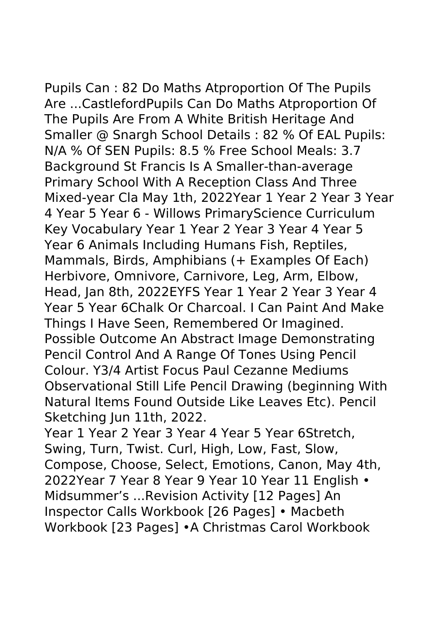Pupils Can : 82 Do Maths Atproportion Of The Pupils Are ...CastlefordPupils Can Do Maths Atproportion Of

The Pupils Are From A White British Heritage And Smaller @ Snargh School Details : 82 % Of EAL Pupils: N/A % Of SEN Pupils: 8.5 % Free School Meals: 3.7 Background St Francis Is A Smaller-than-average Primary School With A Reception Class And Three Mixed-year Cla May 1th, 2022Year 1 Year 2 Year 3 Year 4 Year 5 Year 6 - Willows PrimaryScience Curriculum Key Vocabulary Year 1 Year 2 Year 3 Year 4 Year 5 Year 6 Animals Including Humans Fish, Reptiles, Mammals, Birds, Amphibians (+ Examples Of Each) Herbivore, Omnivore, Carnivore, Leg, Arm, Elbow, Head, Jan 8th, 2022EYFS Year 1 Year 2 Year 3 Year 4 Year 5 Year 6Chalk Or Charcoal. I Can Paint And Make Things I Have Seen, Remembered Or Imagined. Possible Outcome An Abstract Image Demonstrating Pencil Control And A Range Of Tones Using Pencil Colour. Y3/4 Artist Focus Paul Cezanne Mediums Observational Still Life Pencil Drawing (beginning With Natural Items Found Outside Like Leaves Etc). Pencil Sketching Jun 11th, 2022.

Year 1 Year 2 Year 3 Year 4 Year 5 Year 6Stretch, Swing, Turn, Twist. Curl, High, Low, Fast, Slow, Compose, Choose, Select, Emotions, Canon, May 4th, 2022Year 7 Year 8 Year 9 Year 10 Year 11 English • Midsummer's ...Revision Activity [12 Pages] An Inspector Calls Workbook [26 Pages] • Macbeth Workbook [23 Pages] •A Christmas Carol Workbook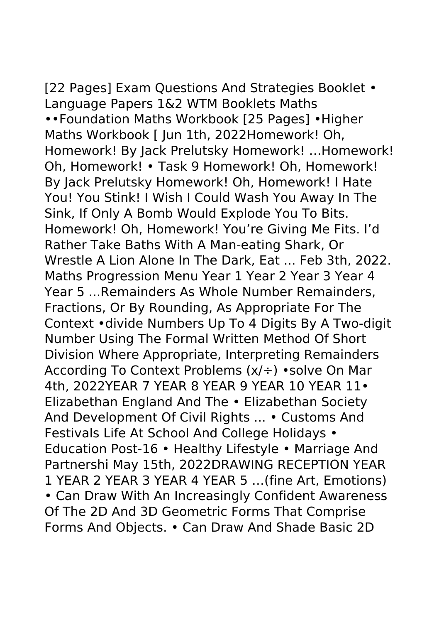[22 Pages] Exam Questions And Strategies Booklet • Language Papers 1&2 WTM Booklets Maths ••Foundation Maths Workbook [25 Pages] •Higher Maths Workbook [ Jun 1th, 2022Homework! Oh, Homework! By Jack Prelutsky Homework! …Homework! Oh, Homework! • Task 9 Homework! Oh, Homework! By Jack Prelutsky Homework! Oh, Homework! I Hate You! You Stink! I Wish I Could Wash You Away In The Sink, If Only A Bomb Would Explode You To Bits. Homework! Oh, Homework! You're Giving Me Fits. I'd Rather Take Baths With A Man-eating Shark, Or Wrestle A Lion Alone In The Dark, Eat ... Feb 3th, 2022. Maths Progression Menu Year 1 Year 2 Year 3 Year 4 Year 5 ...Remainders As Whole Number Remainders, Fractions, Or By Rounding, As Appropriate For The Context •divide Numbers Up To 4 Digits By A Two-digit Number Using The Formal Written Method Of Short Division Where Appropriate, Interpreting Remainders According To Context Problems (x/÷) •solve On Mar 4th, 2022YEAR 7 YEAR 8 YEAR 9 YEAR 10 YEAR 11• Elizabethan England And The • Elizabethan Society And Development Of Civil Rights ... • Customs And Festivals Life At School And College Holidays • Education Post-16 • Healthy Lifestyle • Marriage And Partnershi May 15th, 2022DRAWING RECEPTION YEAR 1 YEAR 2 YEAR 3 YEAR 4 YEAR 5 …(fine Art, Emotions) • Can Draw With An Increasingly Confident Awareness Of The 2D And 3D Geometric Forms That Comprise Forms And Objects. • Can Draw And Shade Basic 2D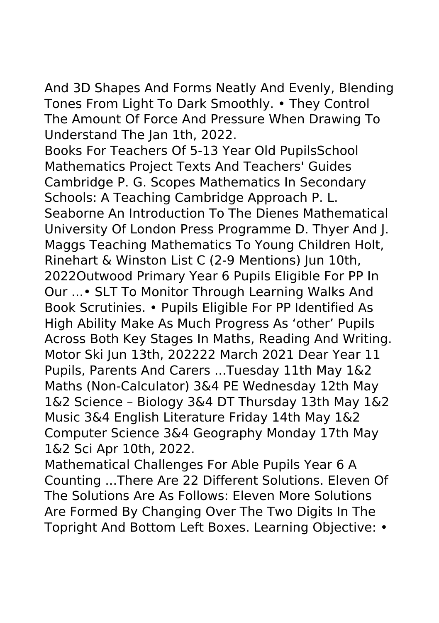And 3D Shapes And Forms Neatly And Evenly, Blending Tones From Light To Dark Smoothly. • They Control The Amount Of Force And Pressure When Drawing To Understand The Jan 1th, 2022.

Books For Teachers Of 5-13 Year Old PupilsSchool Mathematics Project Texts And Teachers' Guides Cambridge P. G. Scopes Mathematics In Secondary Schools: A Teaching Cambridge Approach P. L. Seaborne An Introduction To The Dienes Mathematical University Of London Press Programme D. Thyer And J. Maggs Teaching Mathematics To Young Children Holt, Rinehart & Winston List C (2-9 Mentions) Jun 10th, 2022Outwood Primary Year 6 Pupils Eligible For PP In Our ...• SLT To Monitor Through Learning Walks And Book Scrutinies. • Pupils Eligible For PP Identified As High Ability Make As Much Progress As 'other' Pupils Across Both Key Stages In Maths, Reading And Writing. Motor Ski Jun 13th, 202222 March 2021 Dear Year 11 Pupils, Parents And Carers ...Tuesday 11th May 1&2 Maths (Non-Calculator) 3&4 PE Wednesday 12th May 1&2 Science – Biology 3&4 DT Thursday 13th May 1&2 Music 3&4 English Literature Friday 14th May 1&2 Computer Science 3&4 Geography Monday 17th May 1&2 Sci Apr 10th, 2022.

Mathematical Challenges For Able Pupils Year 6 A Counting ...There Are 22 Different Solutions. Eleven Of The Solutions Are As Follows: Eleven More Solutions Are Formed By Changing Over The Two Digits In The Topright And Bottom Left Boxes. Learning Objective: •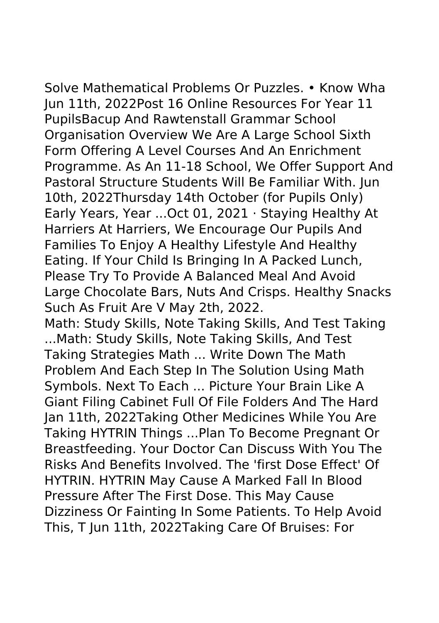Solve Mathematical Problems Or Puzzles. • Know Wha Jun 11th, 2022Post 16 Online Resources For Year 11 PupilsBacup And Rawtenstall Grammar School Organisation Overview We Are A Large School Sixth Form Offering A Level Courses And An Enrichment Programme. As An 11-18 School, We Offer Support And Pastoral Structure Students Will Be Familiar With. Jun 10th, 2022Thursday 14th October (for Pupils Only) Early Years, Year ...Oct 01, 2021 · Staying Healthy At Harriers At Harriers, We Encourage Our Pupils And Families To Enjoy A Healthy Lifestyle And Healthy Eating. If Your Child Is Bringing In A Packed Lunch, Please Try To Provide A Balanced Meal And Avoid Large Chocolate Bars, Nuts And Crisps. Healthy Snacks Such As Fruit Are V May 2th, 2022.

Math: Study Skills, Note Taking Skills, And Test Taking ...Math: Study Skills, Note Taking Skills, And Test Taking Strategies Math ... Write Down The Math Problem And Each Step In The Solution Using Math Symbols. Next To Each ... Picture Your Brain Like A Giant Filing Cabinet Full Of File Folders And The Hard Jan 11th, 2022Taking Other Medicines While You Are Taking HYTRIN Things ...Plan To Become Pregnant Or Breastfeeding. Your Doctor Can Discuss With You The Risks And Benefits Involved. The 'first Dose Effect' Of HYTRIN. HYTRIN May Cause A Marked Fall In Blood Pressure After The First Dose. This May Cause Dizziness Or Fainting In Some Patients. To Help Avoid This, T Jun 11th, 2022Taking Care Of Bruises: For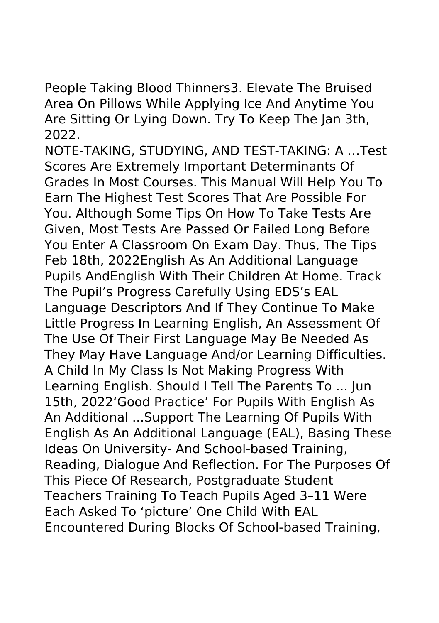People Taking Blood Thinners3. Elevate The Bruised Area On Pillows While Applying Ice And Anytime You Are Sitting Or Lying Down. Try To Keep The Jan 3th, 2022.

NOTE-TAKING, STUDYING, AND TEST-TAKING: A …Test Scores Are Extremely Important Determinants Of Grades In Most Courses. This Manual Will Help You To Earn The Highest Test Scores That Are Possible For You. Although Some Tips On How To Take Tests Are Given, Most Tests Are Passed Or Failed Long Before You Enter A Classroom On Exam Day. Thus, The Tips Feb 18th, 2022English As An Additional Language Pupils AndEnglish With Their Children At Home. Track The Pupil's Progress Carefully Using EDS's EAL Language Descriptors And If They Continue To Make Little Progress In Learning English, An Assessment Of The Use Of Their First Language May Be Needed As They May Have Language And/or Learning Difficulties. A Child In My Class Is Not Making Progress With Learning English. Should I Tell The Parents To ... Jun 15th, 2022'Good Practice' For Pupils With English As An Additional ...Support The Learning Of Pupils With English As An Additional Language (EAL), Basing These Ideas On University- And School-based Training, Reading, Dialogue And Reflection. For The Purposes Of This Piece Of Research, Postgraduate Student Teachers Training To Teach Pupils Aged 3–11 Were Each Asked To 'picture' One Child With EAL Encountered During Blocks Of School-based Training,